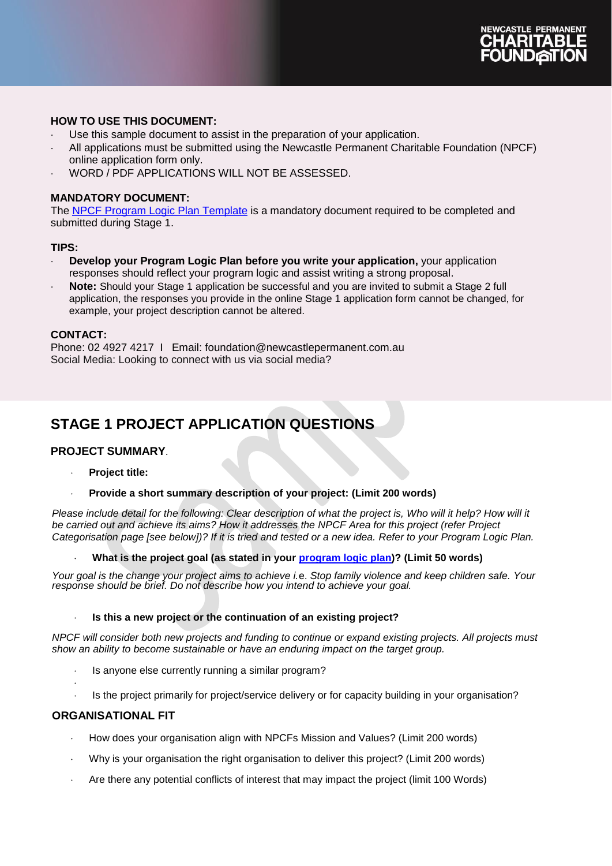

# **HOW TO USE THIS DOCUMENT:**

- Use this sample document to assist in the preparation of your application.
- All applications must be submitted using the Newcastle Permanent Charitable Foundation (NPCF) online application form only.
- WORD / PDF APPLICATIONS WILL NOT BE ASSESSED.

#### **MANDATORY DOCUMENT:**

The [NPCF Program Logic Plan](https://www.newcastlepermanent.com.au/charitable-foundation/funding) Template is a mandatory document required to be completed and submitted during Stage 1.

#### **TIPS:**

- **Develop your Program Logic Plan before you write your application,** your application responses should reflect your program logic and assist writing a strong proposal.
- **Note:** Should your Stage 1 application be successful and you are invited to submit a Stage 2 full application, the responses you provide in the online Stage 1 application form cannot be changed, for example, your project description cannot be altered.

#### **CONTACT:**

Phone: [02 4927 4217](tel:0249274217) I Email: [foundation@newcastlepermanent.com.au](mailto:foundation@newcastlepermanent.com.au) Social Media: Looking to connect with us via social media?

# **STAGE 1 PROJECT APPLICATION QUESTIONS**

#### **PROJECT SUMMARY**.

- **Project title:**
- **Provide a short summary description of your project: (Limit 200 words)**

*Please include detail for the following: Clear description of what the project is, Who will it help? How will it be carried out and achieve its aims? How it addresses the NPCF Area for this project (refer Project Categorisation page [see below])? If it is tried and tested or a new idea. Refer to your Program Logic Plan.*

**What is the project goal (as stated in your [program logic plan\)](https://www.newcastlepermanent.com.au/charitable-foundation/funding/eligibility-criteria)? (Limit 50 words)**

*Your goal is the change your project aims to achieve i.*e. *Stop family violence and keep children safe. Your response should be brief. Do not describe how you intend to achieve your goal.* 

#### **Is this a new project or the continuation of an existing project?**

*NPCF will consider both new projects and funding to continue or expand existing projects. All projects must show an ability to become sustainable or have an enduring impact on the target group.*

- Is anyone else currently running a similar program?
- Is the project primarily for project/service delivery or for capacity building in your organisation?

#### **ORGANISATIONAL FIT**

.

- How does your organisation align with NPCFs Mission and Values? (Limit 200 words)
- Why is your organisation the right organisation to deliver this project? (Limit 200 words)
- Are there any potential conflicts of interest that may impact the project (limit 100 Words)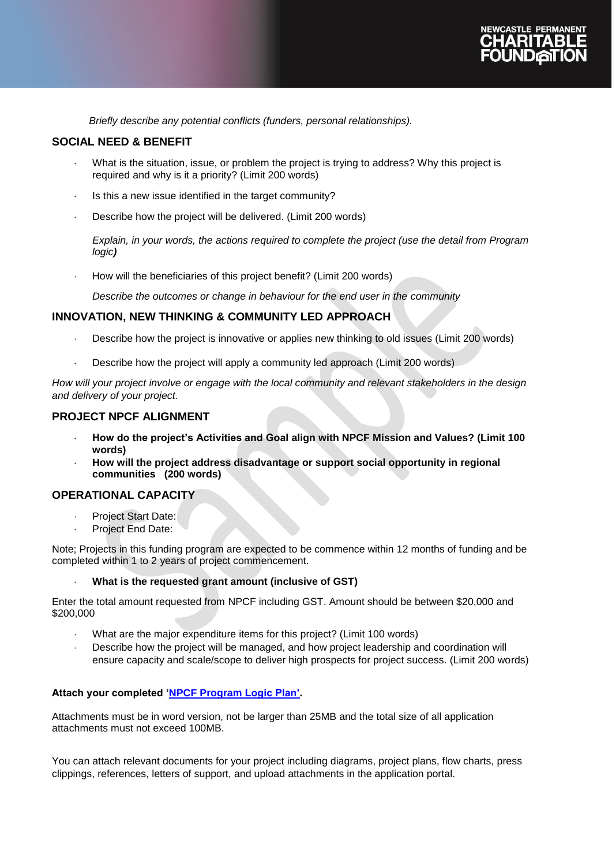

*Briefly describe any potential conflicts (funders, personal relationships).* 

#### **SOCIAL NEED & BENEFIT**

- What is the situation, issue, or problem the project is trying to address? Why this project is required and why is it a priority? (Limit 200 words)
- Is this a new issue identified in the target community?
- Describe how the project will be delivered. (Limit 200 words)

*Explain, in your words, the actions required to complete the project (use the detail from Program logic)* 

How will the beneficiaries of this project benefit? (Limit 200 words)

*Describe the outcomes or change in behaviour for the end user in the community*

#### **INNOVATION, NEW THINKING & COMMUNITY LED APPROACH**

- Describe how the project is innovative or applies new thinking to old issues (Limit 200 words)
- Describe how the project will apply a community led approach (Limit 200 words)

*How will your project involve or engage with the local community and relevant stakeholders in the design and delivery of your project.*

# **PROJECT NPCF ALIGNMENT**

- **How do the project's Activities and Goal align with NPCF Mission and Values? (Limit 100 words)**
- **How will the project address disadvantage or support social opportunity in regional communities (200 words)**

# **OPERATIONAL CAPACITY**

- Project Start Date:
- Project End Date:

Note; Projects in this funding program are expected to be commence within 12 months of funding and be completed within 1 to 2 years of project commencement.

#### **What is the requested grant amount (inclusive of GST)**

Enter the total amount requested from NPCF including GST. Amount should be between \$20,000 and \$200,000

- What are the major expenditure items for this project? (Limit 100 words)
- Describe how the project will be managed, and how project leadership and coordination will ensure capacity and scale/scope to deliver high prospects for project success. (Limit 200 words)

#### **Attach your completed 'NPCF [Program Logic Plan'.](https://www.newcastlepermanent.com.au/charitable-foundation/funding/eligibility-criteria)**

Attachments must be in word version, not be larger than 25MB and the total size of all application attachments must not exceed 100MB.

You can attach relevant documents for your project including diagrams, project plans, flow charts, press clippings, references, letters of support, and upload attachments in the application portal.